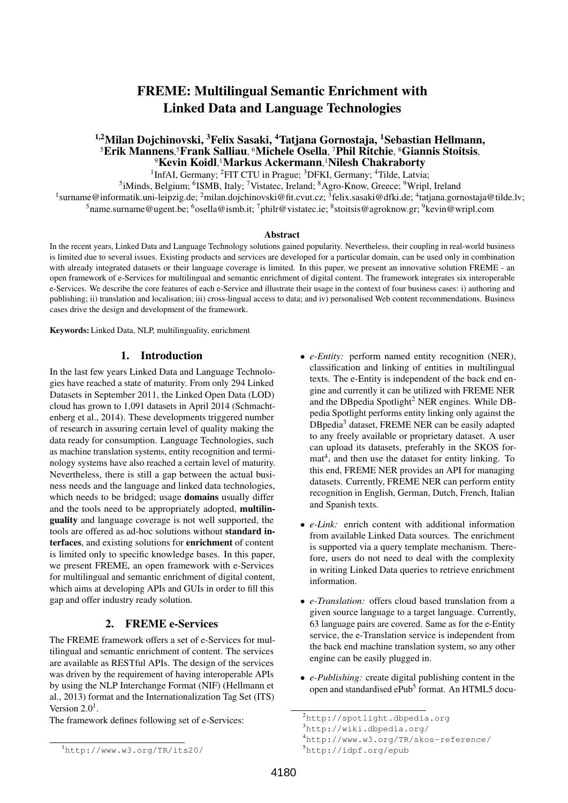# FREME: Multilingual Semantic Enrichment with Linked Data and Language Technologies

# <sup>1,2</sup>Milan Dojchinovski, <sup>3</sup>Felix Sasaki, <sup>4</sup>Tatjana Gornostaja, <sup>1</sup>Sebastian Hellmann, <sup>5</sup>Erik Mannens, <sup>5</sup>Frank Salliau, <sup>6</sup>Michele Osella, <sup>7</sup>Phil Ritchie, <sup>8</sup>Giannis Stoitsis, <sup>9</sup>Kevin Koidl, <sup>1</sup>Markus Ackermann, <sup>1</sup>Nilesh Chakraborty

<sup>1</sup>InfAI, Germany; <sup>2</sup>FIT CTU in Prague; <sup>3</sup>DFKI, Germany; <sup>4</sup>Tilde, Latvia; <sup>5</sup>iMinds, Belgium; <sup>6</sup>ISMB, Italy; <sup>7</sup>Vistatec, Ireland; <sup>8</sup>Agro-Know, Greece; <sup>9</sup>Wripl, Ireland <sup>1</sup>surname@informatik.uni-leipzig.de; <sup>2</sup>milan.dojchinovski@fit.cvut.cz; <sup>3</sup>felix.sasaki@dfki.de; <sup>4</sup>tatjana.gornostaja@tilde.lv; <sup>5</sup>name.surname@ugent.be; <sup>6</sup>osella@ismb.it; <sup>7</sup>philr@vistatec.ie; <sup>8</sup>stoitsis@agroknow.gr; <sup>9</sup>kevin@wripl.com

#### Abstract

In the recent years, Linked Data and Language Technology solutions gained popularity. Nevertheless, their coupling in real-world business is limited due to several issues. Existing products and services are developed for a particular domain, can be used only in combination with already integrated datasets or their language coverage is limited. In this paper, we present an innovative solution FREME - an open framework of e-Services for multilingual and semantic enrichment of digital content. The framework integrates six interoperable e-Services. We describe the core features of each e-Service and illustrate their usage in the context of four business cases: i) authoring and publishing; ii) translation and localisation; iii) cross-lingual access to data; and iv) personalised Web content recommendations. Business cases drive the design and development of the framework.

Keywords: Linked Data, NLP, multilinguality, enrichment

#### 1. Introduction

In the last few years Linked Data and Language Technologies have reached a state of maturity. From only 294 Linked Datasets in September 2011, the Linked Open Data (LOD) cloud has grown to 1,091 datasets in April 2014 (Schmachtenberg et al., 2014). These developments triggered number of research in assuring certain level of quality making the data ready for consumption. Language Technologies, such as machine translation systems, entity recognition and terminology systems have also reached a certain level of maturity. Nevertheless, there is still a gap between the actual business needs and the language and linked data technologies, which needs to be bridged; usage **domains** usually differ and the tools need to be appropriately adopted, multilinguality and language coverage is not well supported, the tools are offered as ad-hoc solutions without standard interfaces, and existing solutions for enrichment of content is limited only to specific knowledge bases. In this paper, we present FREME, an open framework with e-Services for multilingual and semantic enrichment of digital content, which aims at developing APIs and GUIs in order to fill this gap and offer industry ready solution.

## 2. FREME e-Services

The FREME framework offers a set of e-Services for multilingual and semantic enrichment of content. The services are available as RESTful APIs. The design of the services was driven by the requirement of having interoperable APIs by using the NLP Interchange Format (NIF) (Hellmann et al., 2013) format and the Internationalization Tag Set (ITS) Version  $2.0<sup>1</sup>$ .

The framework defines following set of e-Services:

<sup>1</sup>http://www.w3.org/TR/its20/

- *e-Entity:* perform named entity recognition (NER), classification and linking of entities in multilingual texts. The e-Entity is independent of the back end engine and currently it can be utilized with FREME NER and the DBpedia Spotlight<sup>2</sup> NER engines. While DBpedia Spotlight performs entity linking only against the DBpedia<sup>3</sup> dataset, FREME NER can be easily adapted to any freely available or proprietary dataset. A user can upload its datasets, preferably in the SKOS format<sup>4</sup>, and then use the dataset for entity linking. To this end, FREME NER provides an API for managing datasets. Currently, FREME NER can perform entity recognition in English, German, Dutch, French, Italian and Spanish texts.
- *e-Link:* enrich content with additional information from available Linked Data sources. The enrichment is supported via a query template mechanism. Therefore, users do not need to deal with the complexity in writing Linked Data queries to retrieve enrichment information.
- *e-Translation:* offers cloud based translation from a given source language to a target language. Currently, 63 language pairs are covered. Same as for the e-Entity service, the e-Translation service is independent from the back end machine translation system, so any other engine can be easily plugged in.
- *e-Publishing:* create digital publishing content in the open and standardised ePub<sup>5</sup> format. An HTML5 docu-

<sup>2</sup>http://spotlight.dbpedia.org

<sup>3</sup>http://wiki.dbpedia.org/

<sup>4</sup>http://www.w3.org/TR/skos-reference/

<sup>5</sup>http://idpf.org/epub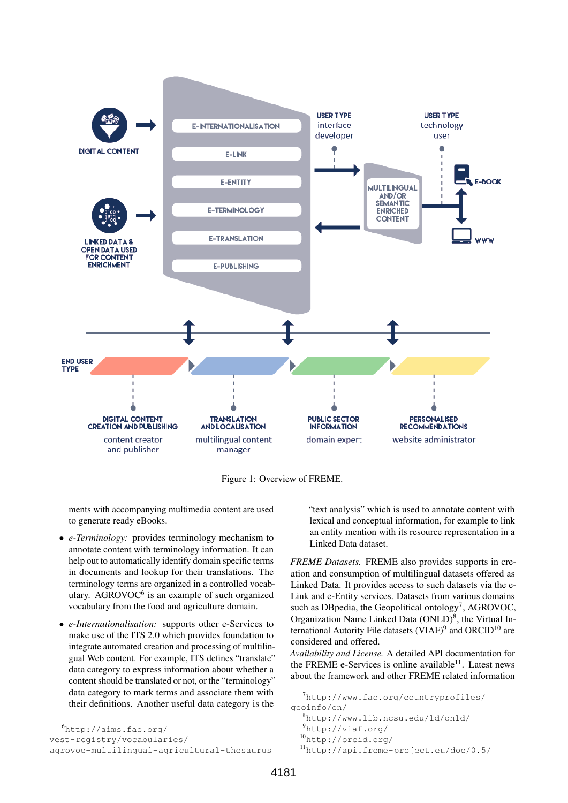

Figure 1: Overview of FREME.

ments with accompanying multimedia content are used to generate ready eBooks.

- *e-Terminology:* provides terminology mechanism to annotate content with terminology information. It can help out to automatically identify domain specific terms in documents and lookup for their translations. The terminology terms are organized in a controlled vocabulary. AGROVOC<sup>6</sup> is an example of such organized vocabulary from the food and agriculture domain.
- *e-Internationalisation:* supports other e-Services to make use of the ITS 2.0 which provides foundation to integrate automated creation and processing of multilingual Web content. For example, ITS defines "translate" data category to express information about whether a content should be translated or not, or the "terminology" data category to mark terms and associate them with their definitions. Another useful data category is the

"text analysis" which is used to annotate content with lexical and conceptual information, for example to link an entity mention with its resource representation in a Linked Data dataset.

*FREME Datasets.* FREME also provides supports in creation and consumption of multilingual datasets offered as Linked Data. It provides access to such datasets via the e-Link and e-Entity services. Datasets from various domains such as DBpedia, the Geopolitical ontology<sup>7</sup>, AGROVOC, Organization Name Linked Data (ONLD)<sup>8</sup>, the Virtual International Autority File datasets (VIAF)<sup>9</sup> and ORCID<sup>10</sup> are considered and offered.

*Availability and License.* A detailed API documentation for the FREME e-Services is online available<sup>11</sup>. Latest news about the framework and other FREME related information

<sup>6</sup>http://aims.fao.org/

vest-registry/vocabularies/

agrovoc-multilingual-agricultural-thesaurus

 $^{7}$ http://www.fao.org/countryprofiles/

geoinfo/en/

<sup>8</sup>http://www.lib.ncsu.edu/ld/onld/

<sup>9</sup>http://viaf.org/

<sup>10</sup>http://orcid.org/

<sup>11</sup>http://api.freme-project.eu/doc/0.5/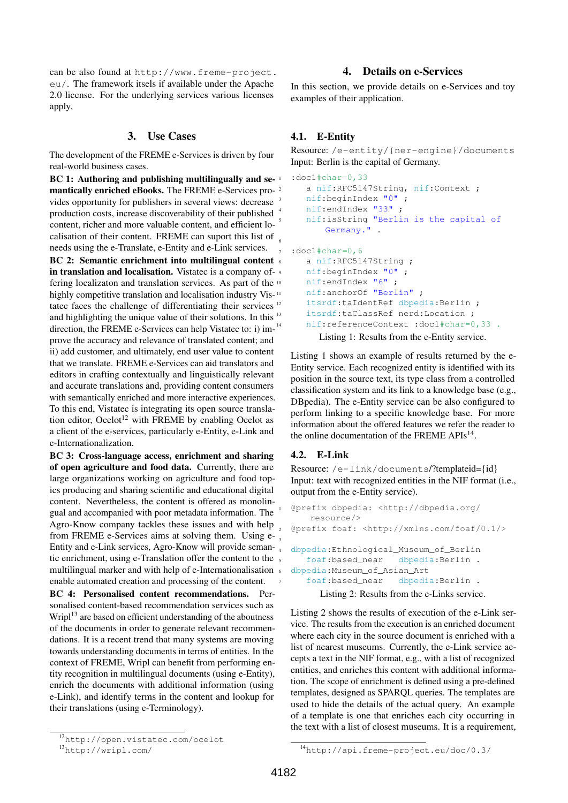can be also found at http://www.freme-project. eu/. The framework itsels if available under the Apache 2.0 license. For the underlying services various licenses apply.

#### 3. Use Cases

The development of the FREME e-Services is driven by four real-world business cases.

BC 1: Authoring and publishing multilingually and semantically enriched eBooks. The FREME e-Services pro- <sup>2</sup> vides opportunity for publishers in several views: decrease production costs, increase discoverability of their published content, richer and more valuable content, and efficient localisation of their content. FREME can suport this list of needs using the e-Translate, e-Entity and e-Link services. BC 2: Semantic enrichment into multilingual content s in translation and localisation. Vistatec is a company of-  $\frac{1}{2}$ fering localizaton and translation services. As part of the highly competitive translation and localisation industry Vis-<sup>11</sup> tatec faces the challenge of differentiating their services<sup>12</sup> and highlighting the unique value of their solutions. In this <sup>13</sup> direction, the FREME e-Services can help Vistatec to: i) im-<sup>14</sup> prove the accuracy and relevance of translated content; and ii) add customer, and ultimately, end user value to content that we translate. FREME e-Services can aid translators and editors in crafting contextually and linguistically relevant and accurate translations and, providing content consumers with semantically enriched and more interactive experiences. To this end, Vistatec is integrating its open source translation editor, Ocelot<sup>12</sup> with FREME by enabling Ocelot as a client of the e-services, particularly e-Entity, e-Link and e-Internationalization. 6

BC 3: Cross-language access, enrichment and sharing of open agriculture and food data. Currently, there are large organizations working on agriculture and food topics producing and sharing scientific and educational digital content. Nevertheless, the content is offered as monolingual and accompanied with poor metadata information. The Agro-Know company tackles these issues and with help from FREME e-Services aims at solving them. Using e-Entity and e-Link services, Agro-Know will provide semantic enrichment, using e-Translation offer the content to the multilingual marker and with help of e-Internationalisation enable automated creation and processing of the content.

BC 4: Personalised content recommendations. Personalised content-based recommendation services such as  $Wripl<sup>13</sup>$  are based on efficient understanding of the aboutness of the documents in order to generate relevant recommendations. It is a recent trend that many systems are moving towards understanding documents in terms of entities. In the context of FREME, Wripl can benefit from performing entity recognition in multilingual documents (using e-Entity), enrich the documents with additional information (using e-Link), and identify terms in the content and lookup for their translations (using e-Terminology).

# 4. Details on e-Services

In this section, we provide details on e-Services and toy examples of their application.

# 4.1. E-Entity

Resource: /e-entity/{ner-engine}/documents Input: Berlin is the capital of Germany.

```
:doc1#char=0,33
   a nif:RFC5147String, nif:Context ;
  nif:beginIndex "0";
   nif:endIndex "33";
   5 nif:isString "Berlin is the capital of
      Germany."
: doc1#char=0,6
  a nif:RFC5147String ;
  nif:beginIndex "0";
  nif:endIndex "6";
  nif:anchorOf "Berlin" ;
   itsrdf:taIdentRef dbpedia:Berlin ;
   itsrdf:taClassRef nerd:Location ;
   nif:referenceContext :doc1#char=0,33.
     Listing 1: Results from the e-Entity service.
```
Listing 1 shows an example of results returned by the e-Entity service. Each recognized entity is identified with its position in the source text, its type class from a controlled classification system and its link to a knowledge base (e.g., DBpedia). The e-Entity service can be also configured to perform linking to a specific knowledge base. For more information about the offered features we refer the reader to the online documentation of the FREME APIs<sup>14</sup>.

#### 4.2. E-Link

Resource: /e-link/documents/?templateid={id} Input: text with recognized entities in the NIF format (i.e., output from the e-Entity service).

```
1 @prefix dbpedia: <http://dbpedia.org/
    resource/>
2 @prefix foaf: <http://xmlns.com/foaf/0.1/>
4 dbpedia:Ethnological_Museum_of_Berlin
   5 foaf:based_near dbpedia:Berlin .
dbpedia: Museum of Asian Art
   7 foaf:based_near dbpedia:Berlin .
```
Listing 2: Results from the e-Links service.

Listing 2 shows the results of execution of the e-Link service. The results from the execution is an enriched document where each city in the source document is enriched with a list of nearest museums. Currently, the e-Link service accepts a text in the NIF format, e.g., with a list of recognized entities, and enriches this content with additional information. The scope of enrichment is defined using a pre-defined templates, designed as SPARQL queries. The templates are used to hide the details of the actual query. An example of a template is one that enriches each city occurring in the text with a list of closest museums. It is a requirement,

<sup>12</sup>http://open.vistatec.com/ocelot

<sup>13</sup>http://wripl.com/

<sup>14</sup>http://api.freme-project.eu/doc/0.3/